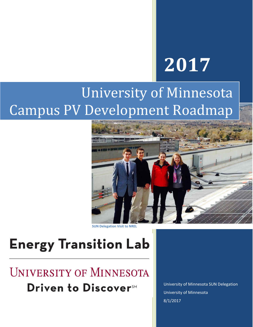# **2017**

# University of Minnesota Campus PV Development Roadmap



**SUN Delegation Visit to NREL**

## **Energy Transition Lab**

### **UNIVERSITY OF MINNESOTA** Driven to Discover<sup>SM</sup>

University of Minnesota SUN Delegation University of Minnesota 8/1/2017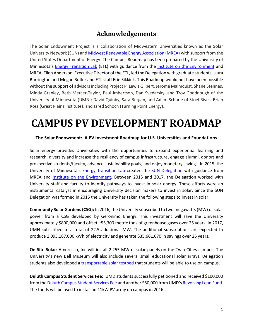#### **Acknowledgements**

The Solar Endowment Project is a collaboration of Midwestern Universities known as the Solar University Network (SUN) an[d Midwest Renewable Energy Association \(MREA\)](https://www.midwestrenew.org/) with support from the United States Department of Energy. The Campus Roadmap has been prepared by the University of Minnesota's [Energy Transition Lab](http://energytransition.umn.edu/) (ETL) with guidance from the [Institute on the Environment](http://environment.umn.edu/) and MREA. Ellen Anderson, Executive Director of the ETL, led the Delegation with graduate students Laura Burrington and Megan Butler and ETL staff Erin Sikkink. This Roadmap would not have been possible without the support of advisors including Project PI Lewis Gilbert, Jerome Malmquist, Shane Stennes, Mindy Granley, Beth Mercer-Taylor, Paul Imbertson, Dan Svedarsky, and Troy Goodnough of the University of Minnesota (UMN); David Quinby, Sara Bergan, and Adam Schurle of Stoel Rives; Brian Ross (Great Plains Institute), and Jared Schoch (Turning Point Energy).

### **CAMPUS PV DEVELOPMENT ROADMAP**

#### **The Solar Endowment: A PV Investment Roadmap for U.S. Universities and Foundations**

Solar energy provides Universities with the opportunities to expand experiential learning and research, diversity and increase the resiliency of campus infrastructure, engage alumni, donors and prospective students/faculty, advance sustainability goals, and enjoy monetary savings. In 2015, the University of Minnesota's [Energy Transition Lab](http://energytransition.umn.edu/) created the [SUN Delegation](http://energytransition.umn.edu/the-university-of-minnesota-sun-delegation/) with guidance from MREA and [Institute on the Environment.](file:///C:/Users/butle553/Desktop/Institute%20on%20the%20Environment) Between 2015 and 2017, the Delegation worked with University staff and faculty to identify pathways to invest in solar energy. These efforts were an instrumental catalyst in encouraging University decision makers to invest in solar. Since the SUN Delegation was formed in 2015 the University has taken the following steps to invest in solar:

**Community Solar Gardens(CSG):** In 2016, the University subscribed to two megawatts (MW) of solar power from a CSG developed by Geronimo Energy. This investment will save the University approximately \$800,000 and offset ~55,300 metric tons of greenhouse gases over 25 years. In 2017, UMN subscribed to a total of 22.5 additional MW. The additional subscriptions are expected to produce 1,095,187,000 kWh of electricity and generate \$35,661,070 in savings over 25 years.

**On-Site Solar**: Ameresco, Inc will install 2.255 MW of solar panels on the Twin Cities campus. The University's new Bell Museum will also include several small educational solar arrays. Delegation students also developed [a transportable solar](http://energytransition.umn.edu/wp-content/uploads/2015/08/Solar-Testbed-Master-Plan.pdf) testbed that students will be able to use on campus.

**Duluth Campus Student Services Fee:** UMD students successfully petitioned and received \$100,000 from the [Duluth Campus Student Services Fee](http://www.d.umn.edu/student-life/ssf/) and another \$50,000 from UMD's [Revolving Loan Fund.](https://champ.d.umn.edu/sustainability/get-involved/green-revolving-fund) The funds will be used to install an 11kW PV array on campus in 2016.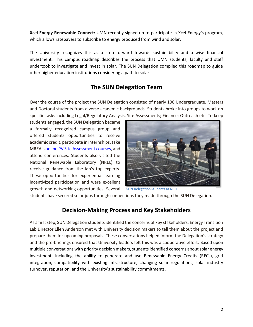**Xcel Energy Renewable Connect:** UMN recently signed up to participate in Xcel Energy's program, which allows ratepayers to subscribe to energy produced from wind and solar.

The University recognizes this as a step forward towards sustainability and a wise financial investment. This campus roadmap describes the process that UMN students, faculty and staff undertook to investigate and invest in solar. The SUN Delegation compiled this roadmap to guide other higher education institutions considering a path to solar.

#### **The SUN Delegation Team**

Over the course of the project the SUN Delegation consisted of nearly 100 Undergraduate, Masters and Doctoral students from diverse academic backgrounds. Students broke into groups to work on specific tasks including Legal/Regulatory Analysis, Site Assessments; Finance; Outreach etc. To keep

students engaged, the SUN Delegation became a formally recognized campus group and offered students opportunities to receive academic credit, participate in internships, take MREA's online [PV Site Assessment](https://www.midwestrenew.org/certificates/) courses, and attend conferences. Students also visited the National Renewable Laboratory (NREL) to receive guidance from the lab's top experts. These opportunities for experiential learning incentivized participation and were excellent growth and networking opportunities. Several



students have secured solar jobs through connections they made through the SUN Delegation. **SUN Delegation Students at NREL**

#### **Decision-Making Process and Key Stakeholders**

As a first step, SUN Delegation students identified the concerns of key stakeholders. Energy Transition Lab Director Ellen Anderson met with University decision makers to tell them about the project and prepare them for upcoming proposals. These conversations helped inform the Delegation's strategy and the pre-briefings ensured that University leaders felt this was a cooperative effort. Based upon multiple conversations with priority decision makers, students identified concerns about solar energy investment, including the ability to generate and use Renewable Energy Credits (RECs), grid integration, compatibility with existing infrastructure, changing solar regulations, solar industry turnover, reputation, and the University's sustainability commitments.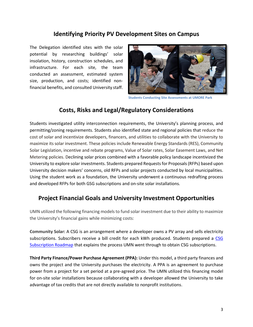#### **Identifying Priority PV Development Sites on Campus**

The Delegation identified sites with the solar potential by researching buildings' solar insolation, history, construction schedules, and infrastructure. For each site, the team conducted an assessment, estimated system size, production, and costs; identified nonfinancial benefits, and consulted University staff.



**Students Conducting Site Assessments at UMORE Park**

#### **Costs, Risks and Legal/Regulatory Considerations**

Students investigated utility interconnection requirements, the University's planning process, and permitting/zoning requirements. Students also identified state and regional policies that reduce the cost of solar and incentivize developers, financers, and utilities to collaborate with the University to maximize its solar investment. These policies include Renewable Energy Standards (RES), Community Solar Legislation, incentive and rebate programs, Value of Solar rates, Solar Easement Laws, and Net Metering policies. Declining solar prices combined with a favorable policy landscape incentivized the University to explore solar investments. Students prepared Requests for Proposals (RFPs) based upon University decision makers' concerns, old RFPs and solar projects conducted by local municipalities. Using the student work as a foundation, the University underwent a continuous redrafting process and developed RFPs for both GSG subscriptions and on-site solar installations.

#### **Project Financial Goals and University Investment Opportunities**

UMN utilized the following financing models to fund solar investment due to their ability to maximize the University's financial gains while minimizing costs:

**Community Solar:** A CSG is an arrangement where a developer owns a PV array and sells electricity subscriptions. Subscribers receive a bill credit for each kWh produced. Students prepared a [CSG](http://energytransition.umn.edu/wp-content/uploads/2015/08/Community-Solar-Roadmap.pdf) [Subscription Roadmap](http://energytransition.umn.edu/wp-content/uploads/2015/08/Community-Solar-Roadmap.pdf) that explains the process UMN went through to obtain CSG subscriptions.

**Third Party Finance/Power Purchase Agreement (PPA):** Under this model, a third party finances and owns the project and the University purchases the electricity. A PPA is an agreement to purchase power from a project for a set period at a pre-agreed price. The UMN utilized this financing model for on-site solar installations because collaborating with a developer allowed the University to take advantage of tax credits that are not directly available to nonprofit institutions.